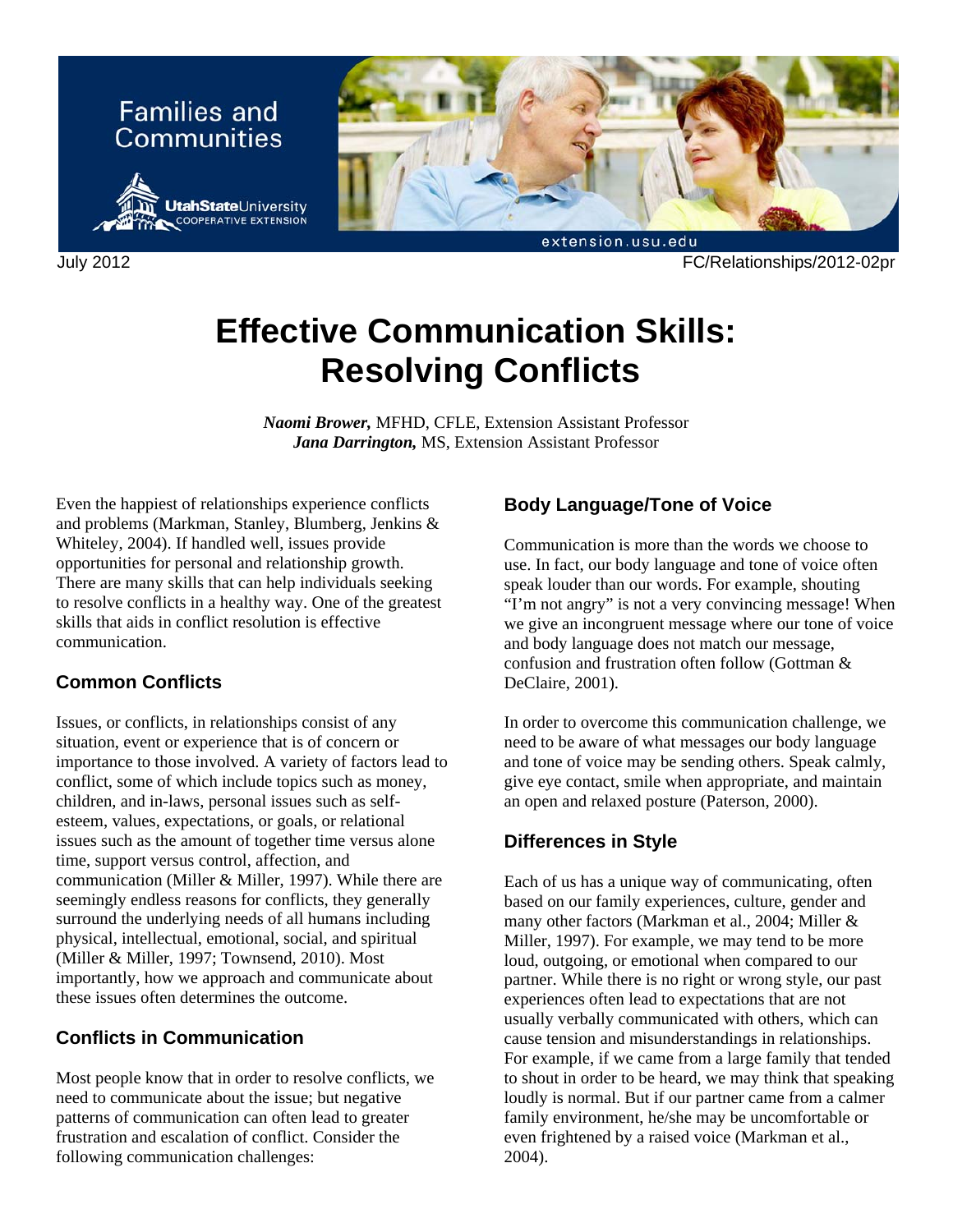

July 2012 FC/Relationships/2012-02pr

# **Effective Communication Skills: Resolving Conflicts**

*Naomi Brower,* MFHD, CFLE, Extension Assistant Professor *Jana Darrington,* MS, Extension Assistant Professor

Even the happiest of relationships experience conflicts and problems (Markman, Stanley, Blumberg, Jenkins & Whiteley, 2004). If handled well, issues provide opportunities for personal and relationship growth. There are many skills that can help individuals seeking to resolve conflicts in a healthy way. One of the greatest skills that aids in conflict resolution is effective communication.

## **Common Conflicts**

Issues, or conflicts, in relationships consist of any situation, event or experience that is of concern or importance to those involved. A variety of factors lead to conflict, some of which include topics such as money, children, and in-laws, personal issues such as selfesteem, values, expectations, or goals, or relational issues such as the amount of together time versus alone time, support versus control, affection, and communication (Miller & Miller, 1997). While there are seemingly endless reasons for conflicts, they generally surround the underlying needs of all humans including physical, intellectual, emotional, social, and spiritual (Miller & Miller, 1997; Townsend, 2010). Most importantly, how we approach and communicate about these issues often determines the outcome.

## **Conflicts in Communication**

Most people know that in order to resolve conflicts, we need to communicate about the issue; but negative patterns of communication can often lead to greater frustration and escalation of conflict. Consider the following communication challenges:

## **Body Language/Tone of Voice**

Communication is more than the words we choose to use. In fact, our body language and tone of voice often speak louder than our words. For example, shouting "I'm not angry" is not a very convincing message! When we give an incongruent message where our tone of voice and body language does not match our message, confusion and frustration often follow (Gottman & DeClaire, 2001).

In order to overcome this communication challenge, we need to be aware of what messages our body language and tone of voice may be sending others. Speak calmly, give eye contact, smile when appropriate, and maintain an open and relaxed posture (Paterson, 2000).

## **Differences in Style**

Each of us has a unique way of communicating, often based on our family experiences, culture, gender and many other factors (Markman et al., 2004; Miller & Miller, 1997). For example, we may tend to be more loud, outgoing, or emotional when compared to our partner. While there is no right or wrong style, our past experiences often lead to expectations that are not usually verbally communicated with others, which can cause tension and misunderstandings in relationships. For example, if we came from a large family that tended to shout in order to be heard, we may think that speaking loudly is normal. But if our partner came from a calmer family environment, he/she may be uncomfortable or even frightened by a raised voice (Markman et al., 2004).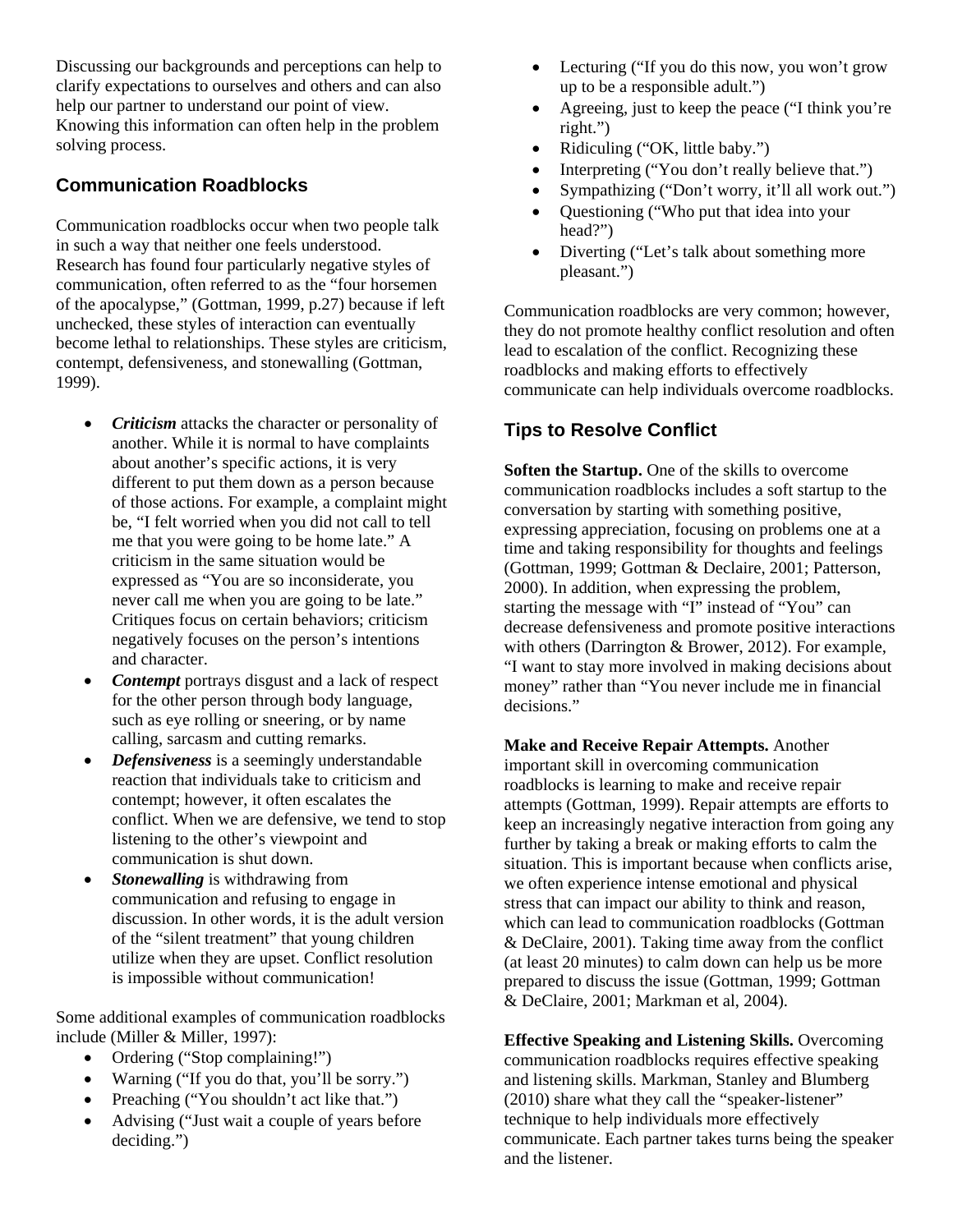Discussing our backgrounds and perceptions can help to clarify expectations to ourselves and others and can also help our partner to understand our point of view. Knowing this information can often help in the problem solving process.

## **Communication Roadblocks**

Communication roadblocks occur when two people talk in such a way that neither one feels understood. Research has found four particularly negative styles of communication, often referred to as the "four horsemen of the apocalypse," (Gottman, 1999, p.27) because if left unchecked, these styles of interaction can eventually become lethal to relationships. These styles are criticism, contempt, defensiveness, and stonewalling (Gottman, 1999).

- *Criticism* attacks the character or personality of another. While it is normal to have complaints about another's specific actions, it is very different to put them down as a person because of those actions. For example, a complaint might be, "I felt worried when you did not call to tell me that you were going to be home late." A criticism in the same situation would be expressed as "You are so inconsiderate, you never call me when you are going to be late." Critiques focus on certain behaviors; criticism negatively focuses on the person's intentions and character.
- *Contempt* portrays disgust and a lack of respect for the other person through body language, such as eye rolling or sneering, or by name calling, sarcasm and cutting remarks.
- *Defensiveness* is a seemingly understandable reaction that individuals take to criticism and contempt; however, it often escalates the conflict. When we are defensive, we tend to stop listening to the other's viewpoint and communication is shut down.
- *Stonewalling* is withdrawing from communication and refusing to engage in discussion. In other words, it is the adult version of the "silent treatment" that young children utilize when they are upset. Conflict resolution is impossible without communication!

Some additional examples of communication roadblocks include (Miller & Miller, 1997):

- Ordering ("Stop complaining!")
- Warning ("If you do that, you'll be sorry.")
- Preaching ("You shouldn't act like that.")
- Advising ("Just wait a couple of years before deciding.")
- Lecturing ("If you do this now, you won't grow up to be a responsible adult.")
- Agreeing, just to keep the peace ("I think you're right.")
- Ridiculing ("OK, little baby.")
- Interpreting ("You don't really believe that.")
- Sympathizing ("Don't worry, it'll all work out.")
- Questioning ("Who put that idea into your head?")
- Diverting ("Let's talk about something more pleasant.")

Communication roadblocks are very common; however, they do not promote healthy conflict resolution and often lead to escalation of the conflict. Recognizing these roadblocks and making efforts to effectively communicate can help individuals overcome roadblocks.

# **Tips to Resolve Conflict**

**Soften the Startup.** One of the skills to overcome communication roadblocks includes a soft startup to the conversation by starting with something positive, expressing appreciation, focusing on problems one at a time and taking responsibility for thoughts and feelings (Gottman, 1999; Gottman & Declaire, 2001; Patterson, 2000). In addition, when expressing the problem, starting the message with "I" instead of "You" can decrease defensiveness and promote positive interactions with others (Darrington & Brower, 2012). For example, "I want to stay more involved in making decisions about money" rather than "You never include me in financial decisions."

**Make and Receive Repair Attempts.** Another important skill in overcoming communication roadblocks is learning to make and receive repair attempts (Gottman, 1999). Repair attempts are efforts to keep an increasingly negative interaction from going any further by taking a break or making efforts to calm the situation. This is important because when conflicts arise, we often experience intense emotional and physical stress that can impact our ability to think and reason, which can lead to communication roadblocks (Gottman & DeClaire, 2001). Taking time away from the conflict (at least 20 minutes) to calm down can help us be more prepared to discuss the issue (Gottman, 1999; Gottman & DeClaire, 2001; Markman et al, 2004).

**Effective Speaking and Listening Skills.** Overcoming communication roadblocks requires effective speaking and listening skills. Markman, Stanley and Blumberg (2010) share what they call the "speaker-listener" technique to help individuals more effectively communicate. Each partner takes turns being the speaker and the listener.